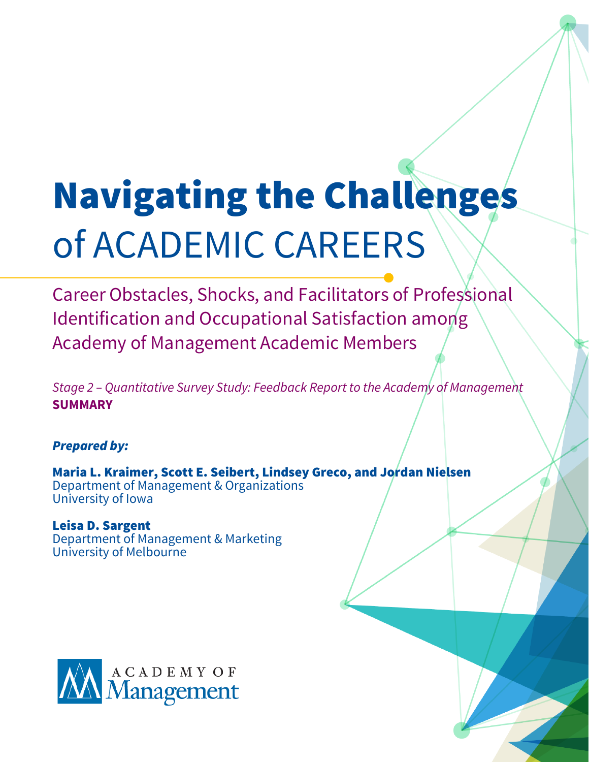# Navigating the Challenges of ACADEMIC CAREERS

Career Obstacles, Shocks, and Facilitators of Professional Identification and Occupational Satisfaction among Academy of Management Academic Members

*Stage 2 – Quantitative Survey Study: Feedback Report to the Academy of Management* **SUMMARY**

# *Prepared by:*

Maria L. Kraimer, Scott E. Seibert, Lindsey Greco, and Jordan Nielsen Department of Management & Organizations University of Iowa

Leisa D. Sargent Department of Management & Marketing University of Melbourne

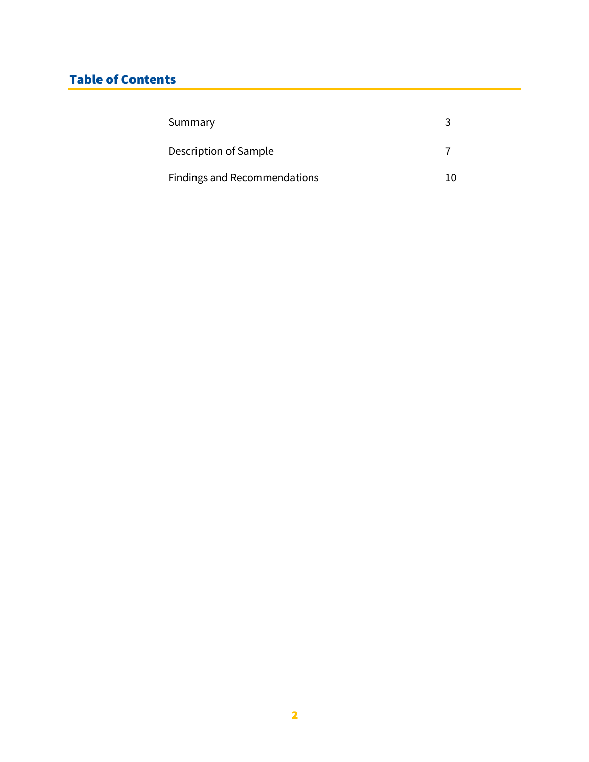# Table of Contents

| Summary                      |    |
|------------------------------|----|
| Description of Sample        |    |
| Findings and Recommendations | 10 |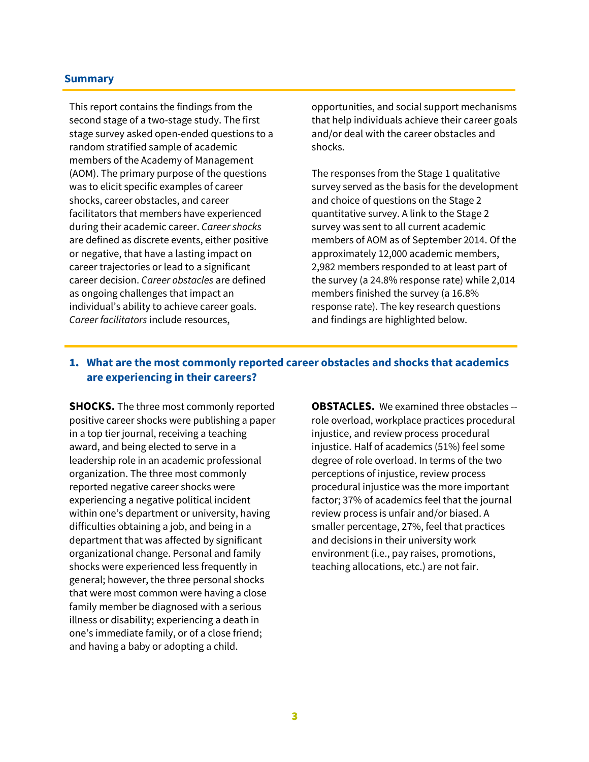#### **Summary**

This report contains the findings from the second stage of a two-stage study. The first stage survey asked open-ended questions to a random stratified sample of academic members of the Academy of Management (AOM). The primary purpose of the questions was to elicit specific examples of career shocks, career obstacles, and career facilitators that members have experienced during their academic career. *Career shocks* are defined as discrete events, either positive or negative, that have a lasting impact on career trajectories or lead to a significant career decision. *Career obstacles* are defined as ongoing challenges that impact an individual's ability to achieve career goals. *Career facilitators* include resources,

opportunities, and social support mechanisms that help individuals achieve their career goals and/or deal with the career obstacles and shocks.

The responses from the Stage 1 qualitative survey served as the basis for the development and choice of questions on the Stage 2 quantitative survey. A link to the Stage 2 survey was sent to all current academic members of AOM as of September 2014. Of the approximately 12,000 academic members, 2,982 members responded to at least part of the survey (a 24.8% response rate) while 2,014 members finished the survey (a 16.8% response rate). The key research questions and findings are highlighted below.

#### 1. **What are the most commonly reported career obstacles and shocks that academics are experiencing in their careers?**

**SHOCKS.** The three most commonly reported positive career shocks were publishing a paper in a top tier journal, receiving a teaching award, and being elected to serve in a leadership role in an academic professional organization. The three most commonly reported negative career shocks were experiencing a negative political incident within one's department or university, having difficulties obtaining a job, and being in a department that was affected by significant organizational change. Personal and family shocks were experienced less frequently in general; however, the three personal shocks that were most common were having a close family member be diagnosed with a serious illness or disability; experiencing a death in one's immediate family, or of a close friend; and having a baby or adopting a child.

**OBSTACLES.** We examined three obstacles - role overload, workplace practices procedural injustice, and review process procedural injustice. Half of academics (51%) feel some degree of role overload. In terms of the two perceptions of injustice, review process procedural injustice was the more important factor; 37% of academics feel that the journal review process is unfair and/or biased. A smaller percentage, 27%, feel that practices and decisions in their university work environment (i.e., pay raises, promotions, teaching allocations, etc.) are not fair.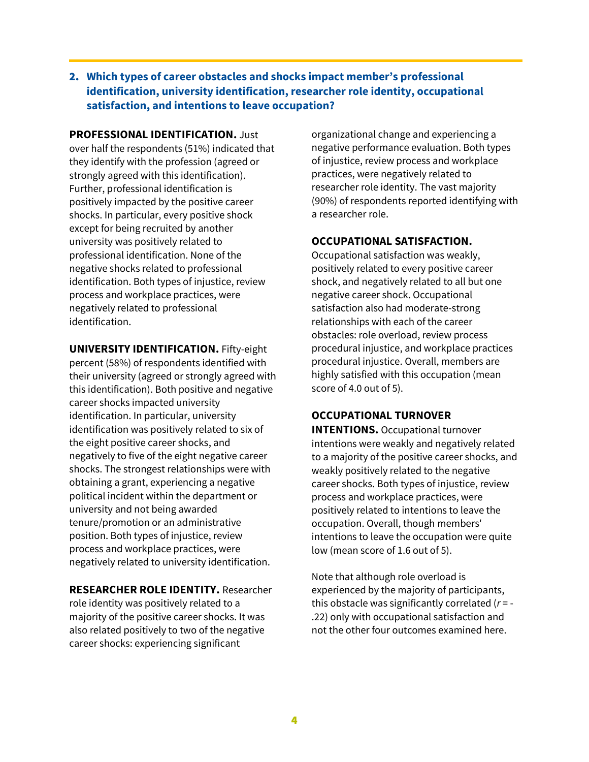## 2. **Which types of career obstacles and shocks impact member's professional identification, university identification, researcher role identity, occupational satisfaction, and intentions to leave occupation?**

#### **PROFESSIONAL IDENTIFICATION.** Just

over half the respondents (51%) indicated that they identify with the profession (agreed or strongly agreed with this identification). Further, professional identification is positively impacted by the positive career shocks. In particular, every positive shock except for being recruited by another university was positively related to professional identification. None of the negative shocks related to professional identification. Both types of injustice, review process and workplace practices, were negatively related to professional identification.

**UNIVERSITY IDENTIFICATION.** Fifty-eight percent (58%) of respondents identified with their university (agreed or strongly agreed with this identification). Both positive and negative career shocks impacted university identification. In particular, university identification was positively related to six of the eight positive career shocks, and negatively to five of the eight negative career shocks. The strongest relationships were with obtaining a grant, experiencing a negative political incident within the department or university and not being awarded tenure/promotion or an administrative position. Both types of injustice, review process and workplace practices, were negatively related to university identification.

**RESEARCHER ROLE IDENTITY.** Researcher role identity was positively related to a majority of the positive career shocks. It was also related positively to two of the negative career shocks: experiencing significant

organizational change and experiencing a negative performance evaluation. Both types of injustice, review process and workplace practices, were negatively related to researcher role identity. The vast majority (90%) of respondents reported identifying with a researcher role.

#### **OCCUPATIONAL SATISFACTION.**

Occupational satisfaction was weakly, positively related to every positive career shock, and negatively related to all but one negative career shock. Occupational satisfaction also had moderate-strong relationships with each of the career obstacles: role overload, review process procedural injustice, and workplace practices procedural injustice. Overall, members are highly satisfied with this occupation (mean score of 4.0 out of 5).

## **OCCUPATIONAL TURNOVER**

**INTENTIONS.** Occupational turnover intentions were weakly and negatively related to a majority of the positive career shocks, and weakly positively related to the negative career shocks. Both types of injustice, review process and workplace practices, were positively related to intentions to leave the occupation. Overall, though members' intentions to leave the occupation were quite low (mean score of 1.6 out of 5).

Note that although role overload is experienced by the majority of participants, this obstacle was significantly correlated (*r* = - .22) only with occupational satisfaction and not the other four outcomes examined here.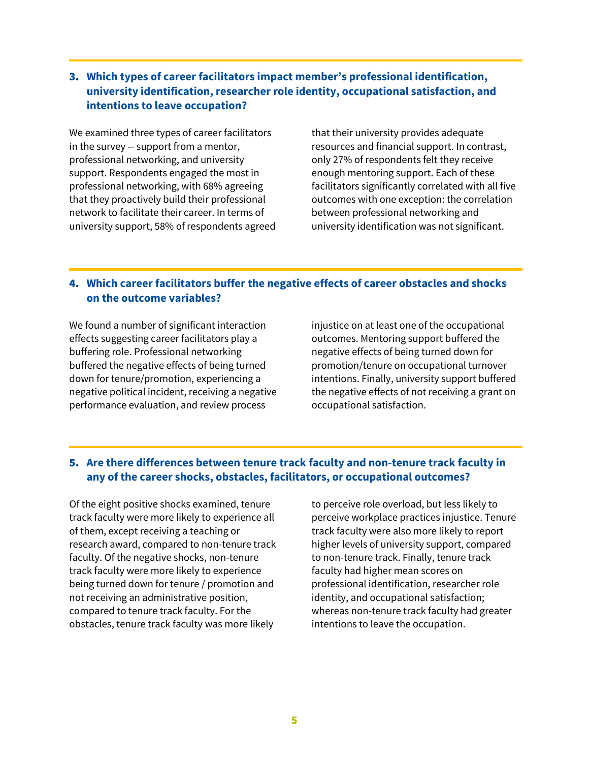## 3. **Which types of career facilitators impact member's professional identification, university identification, researcher role identity, occupational satisfaction, and intentions to leave occupation?**

We examined three types of career facilitators in the survey -- support from a mentor, professional networking, and university support. Respondents engaged the most in professional networking, with 68% agreeing that they proactively build their professional network to facilitate their career. In terms of university support, 58% of respondents agreed that their university provides adequate resources and financial support. In contrast, only 27% of respondents felt they receive enough mentoring support. Each of these facilitators significantly correlated with all five outcomes with one exception: the correlation between professional networking and university identification was not significant.

## 4. **Which career facilitators buffer the negative effects of career obstacles and shocks on the outcome variables?**

We found a number of significant interaction effects suggesting career facilitators play a buffering role. Professional networking buffered the negative effects of being turned down for tenure/promotion, experiencing a negative political incident, receiving a negative performance evaluation, and review process

injustice on at least one of the occupational outcomes. Mentoring support buffered the negative effects of being turned down for promotion/tenure on occupational turnover intentions. Finally, university support buffered the negative effects of not receiving a grant on occupational satisfaction.

## 5. **Are there differences between tenure track faculty and non-tenure track faculty in any of the career shocks, obstacles, facilitators, or occupational outcomes?**

Of the eight positive shocks examined, tenure track faculty were more likely to experience all of them, except receiving a teaching or research award, compared to non-tenure track faculty. Of the negative shocks, non-tenure track faculty were more likely to experience being turned down for tenure / promotion and not receiving an administrative position, compared to tenure track faculty. For the obstacles, tenure track faculty was more likely

to perceive role overload, but less likely to perceive workplace practices injustice. Tenure track faculty were also more likely to report higher levels of university support, compared to non-tenure track. Finally, tenure track faculty had higher mean scores on professional identification, researcher role identity, and occupational satisfaction; whereas non-tenure track faculty had greater intentions to leave the occupation.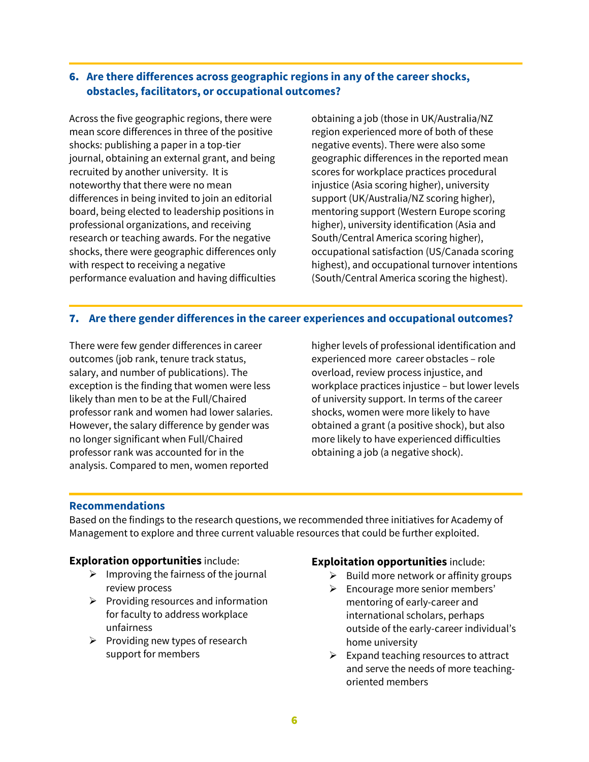## 6. **Are there differences across geographic regions in any of the career shocks, obstacles, facilitators, or occupational outcomes?**

Across the five geographic regions, there were mean score differences in three of the positive shocks: publishing a paper in a top-tier journal, obtaining an external grant, and being recruited by another university. It is noteworthy that there were no mean differences in being invited to join an editorial board, being elected to leadership positions in professional organizations, and receiving research or teaching awards. For the negative shocks, there were geographic differences only with respect to receiving a negative performance evaluation and having difficulties

obtaining a job (those in UK/Australia/NZ region experienced more of both of these negative events). There were also some geographic differences in the reported mean scores for workplace practices procedural injustice (Asia scoring higher), university support (UK/Australia/NZ scoring higher), mentoring support (Western Europe scoring higher), university identification (Asia and South/Central America scoring higher), occupational satisfaction (US/Canada scoring highest), and occupational turnover intentions (South/Central America scoring the highest).

#### 7. **Are there gender differences in the career experiences and occupational outcomes?**

There were few gender differences in career outcomes (job rank, tenure track status, salary, and number of publications). The exception is the finding that women were less likely than men to be at the Full/Chaired professor rank and women had lower salaries. However, the salary difference by gender was no longer significant when Full/Chaired professor rank was accounted for in the analysis. Compared to men, women reported

higher levels of professional identification and experienced more career obstacles – role overload, review process injustice, and workplace practices injustice – but lower levels of university support. In terms of the career shocks, women were more likely to have obtained a grant (a positive shock), but also more likely to have experienced difficulties obtaining a job (a negative shock).

#### **Recommendations**

Based on the findings to the research questions, we recommended three initiatives for Academy of Management to explore and three current valuable resources that could be further exploited.

#### **Exploration opportunities** include:

- $\triangleright$  Improving the fairness of the journal review process
- $\triangleright$  Providing resources and information for faculty to address workplace unfairness
- $\triangleright$  Providing new types of research support for members

#### **Exploitation opportunities** include:

- $\triangleright$  Build more network or affinity groups
- $\triangleright$  Encourage more senior members' mentoring of early-career and international scholars, perhaps outside of the early-career individual's home university
- $\triangleright$  Expand teaching resources to attract and serve the needs of more teachingoriented members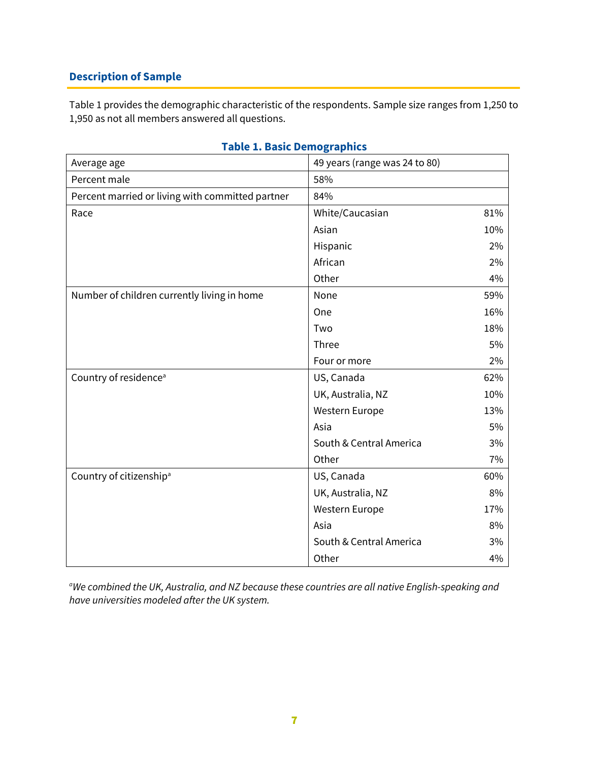## **Description of Sample**

Table 1 provides the demographic characteristic of the respondents. Sample size ranges from 1,250 to 1,950 as not all members answered all questions.

| Average age                                      | 49 years (range was 24 to 80) |     |
|--------------------------------------------------|-------------------------------|-----|
| Percent male                                     | 58%                           |     |
| Percent married or living with committed partner | 84%                           |     |
| Race                                             | White/Caucasian               | 81% |
|                                                  | Asian                         | 10% |
|                                                  | Hispanic                      | 2%  |
|                                                  | African                       | 2%  |
|                                                  | Other                         | 4%  |
| Number of children currently living in home      | None                          | 59% |
|                                                  | One                           | 16% |
|                                                  | Two                           | 18% |
|                                                  | Three                         | 5%  |
|                                                  | Four or more                  | 2%  |
| Country of residence <sup>a</sup>                | US, Canada                    | 62% |
|                                                  | UK, Australia, NZ             | 10% |
|                                                  | <b>Western Europe</b>         | 13% |
|                                                  | Asia                          | 5%  |
|                                                  | South & Central America       | 3%  |
|                                                  | Other                         | 7%  |
| Country of citizenship <sup>a</sup>              | US, Canada                    | 60% |
|                                                  | UK, Australia, NZ             | 8%  |
|                                                  | <b>Western Europe</b>         | 17% |
|                                                  | Asia                          | 8%  |
|                                                  | South & Central America       | 3%  |
|                                                  | Other                         | 4%  |

## **Table 1. Basic Demographics**

*<sup>a</sup>We combined the UK, Australia, and NZ because these countries are all native English-speaking and have universities modeled after the UK system.*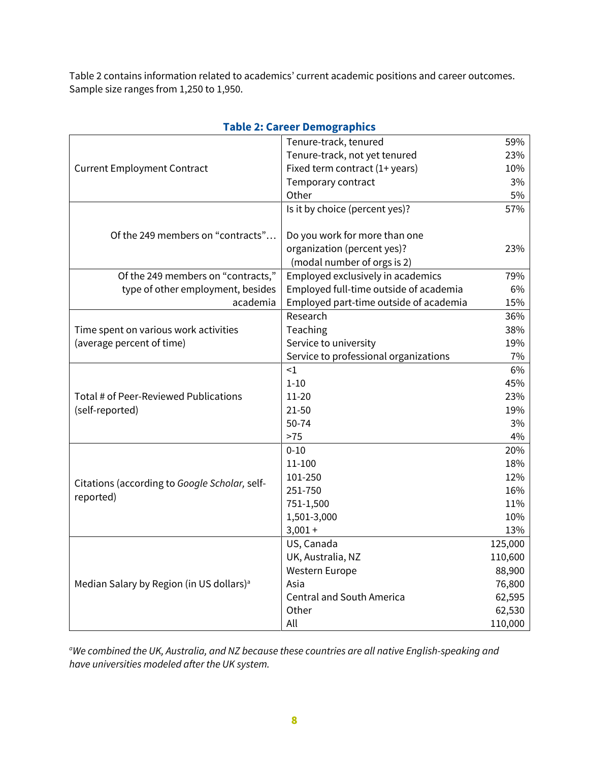Table 2 contains information related to academics' current academic positions and career outcomes. Sample size ranges from 1,250 to 1,950.

| <b>Current Employment Contract</b>                         | Tenure-track, tenured                  | 59%     |
|------------------------------------------------------------|----------------------------------------|---------|
|                                                            | Tenure-track, not yet tenured          | 23%     |
|                                                            | Fixed term contract (1+ years)         | 10%     |
|                                                            | Temporary contract                     | 3%      |
|                                                            | Other                                  | 5%      |
|                                                            | Is it by choice (percent yes)?         | 57%     |
|                                                            |                                        |         |
| Of the 249 members on "contracts"                          | Do you work for more than one          |         |
|                                                            | organization (percent yes)?            | 23%     |
|                                                            | (modal number of orgs is 2)            |         |
| Of the 249 members on "contracts,"                         | Employed exclusively in academics      | 79%     |
| type of other employment, besides                          | Employed full-time outside of academia | 6%      |
| academia                                                   | Employed part-time outside of academia | 15%     |
|                                                            | Research                               | 36%     |
| Time spent on various work activities                      | Teaching                               | 38%     |
| (average percent of time)                                  | Service to university                  | 19%     |
|                                                            | Service to professional organizations  | 7%      |
|                                                            | $\leq$ 1                               | 6%      |
|                                                            | $1 - 10$                               | 45%     |
| Total # of Peer-Reviewed Publications                      | 11-20                                  | 23%     |
| (self-reported)                                            | $21 - 50$                              | 19%     |
|                                                            | 50-74                                  | 3%      |
|                                                            | $>75$                                  | 4%      |
|                                                            | $0 - 10$                               | 20%     |
|                                                            | 11-100                                 | 18%     |
|                                                            | 101-250                                | 12%     |
| Citations (according to Google Scholar, self-<br>reported) | 251-750                                | 16%     |
|                                                            | 751-1,500                              | 11%     |
|                                                            | 1,501-3,000                            | 10%     |
|                                                            | $3,001 +$                              | 13%     |
|                                                            | US, Canada                             | 125,000 |
|                                                            | UK, Australia, NZ                      | 110,600 |
| Median Salary by Region (in US dollars) <sup>a</sup>       | <b>Western Europe</b>                  | 88,900  |
|                                                            | Asia                                   | 76,800  |
|                                                            | <b>Central and South America</b>       | 62,595  |
|                                                            | Other                                  | 62,530  |
|                                                            | All                                    | 110,000 |

## **Table 2: Career Demographics**

*<sup>a</sup>We combined the UK, Australia, and NZ because these countries are all native English-speaking and have universities modeled after the UK system.*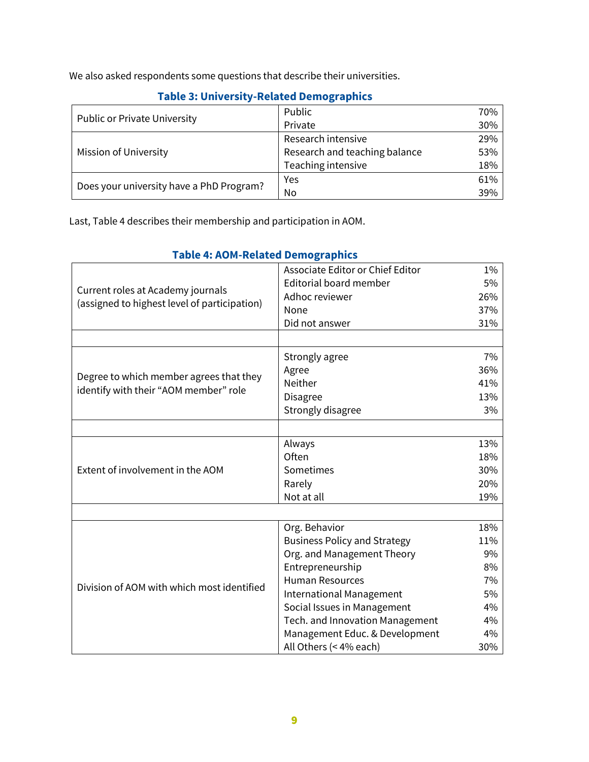We also asked respondents some questions that describe their universities.

| <b>Public or Private University</b>      | Public                        | 70% |
|------------------------------------------|-------------------------------|-----|
|                                          | Private                       | 30% |
| Mission of University                    | Research intensive            | 29% |
|                                          | Research and teaching balance | 53% |
|                                          | Teaching intensive            | 18% |
| Does your university have a PhD Program? | Yes                           | 61% |
|                                          | No                            | 39% |

## **Table 3: University-Related Demographics**

Last, Table 4 describes their membership and participation in AOM.

## **Table 4: AOM-Related Demographics**

| Current roles at Academy journals<br>(assigned to highest level of participation) | Associate Editor or Chief Editor    | $1\%$ |
|-----------------------------------------------------------------------------------|-------------------------------------|-------|
|                                                                                   | <b>Editorial board member</b>       | 5%    |
|                                                                                   | Adhoc reviewer                      | 26%   |
|                                                                                   | None                                | 37%   |
|                                                                                   | Did not answer                      | 31%   |
|                                                                                   |                                     |       |
|                                                                                   | Strongly agree                      | 7%    |
|                                                                                   | Agree                               | 36%   |
| Degree to which member agrees that they                                           | Neither                             | 41%   |
| identify with their "AOM member" role                                             | Disagree                            | 13%   |
|                                                                                   | Strongly disagree                   | 3%    |
|                                                                                   |                                     |       |
|                                                                                   | Always                              | 13%   |
|                                                                                   | Often                               | 18%   |
| Extent of involvement in the AOM                                                  | Sometimes                           | 30%   |
|                                                                                   | Rarely                              | 20%   |
|                                                                                   | Not at all                          | 19%   |
|                                                                                   |                                     |       |
|                                                                                   | Org. Behavior                       | 18%   |
| Division of AOM with which most identified                                        | <b>Business Policy and Strategy</b> | 11%   |
|                                                                                   | Org. and Management Theory          | 9%    |
|                                                                                   | Entrepreneurship                    | 8%    |
|                                                                                   | <b>Human Resources</b>              | 7%    |
|                                                                                   | International Management            | 5%    |
|                                                                                   | Social Issues in Management         | 4%    |
|                                                                                   | Tech. and Innovation Management     | 4%    |
|                                                                                   | Management Educ. & Development      | 4%    |
|                                                                                   | All Others (< 4% each)              | 30%   |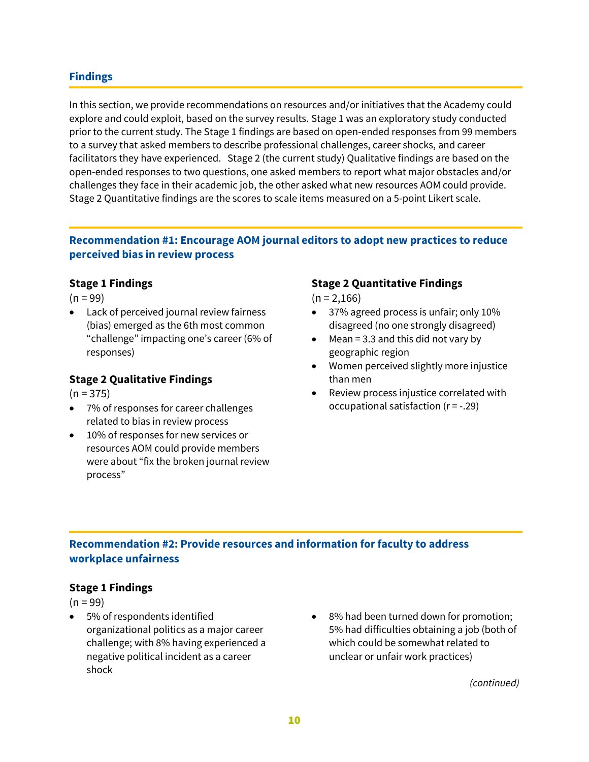## **Findings**

In this section, we provide recommendations on resources and/or initiatives that the Academy could explore and could exploit, based on the survey results. Stage 1 was an exploratory study conducted prior to the current study. The Stage 1 findings are based on open-ended responses from 99 members to a survey that asked members to describe professional challenges, career shocks, and career facilitators they have experienced. Stage 2 (the current study) Qualitative findings are based on the open-ended responses to two questions, one asked members to report what major obstacles and/or challenges they face in their academic job, the other asked what new resources AOM could provide. Stage 2 Quantitative findings are the scores to scale items measured on a 5-point Likert scale.

#### **Recommendation #1: Encourage AOM journal editors to adopt new practices to reduce perceived bias in review process**

#### **Stage 1 Findings**

 $(n = 99)$ 

 Lack of perceived journal review fairness (bias) emerged as the 6th most common "challenge" impacting one's career (6% of responses)

#### **Stage 2 Qualitative Findings**

 $(n = 375)$ 

- 7% of responses for career challenges related to bias in review process
- 10% of responses for new services or resources AOM could provide members were about "fix the broken journal review process"

#### **Stage 2 Quantitative Findings**

 $(n = 2,166)$ 

- 37% agreed process is unfair; only 10% disagreed (no one strongly disagreed)
- $\bullet$  Mean = 3.3 and this did not vary by geographic region
- Women perceived slightly more injustice than men
- Review process injustice correlated with occupational satisfaction (r = -.29)

## **Recommendation #2: Provide resources and information for faculty to address workplace unfairness**

#### **Stage 1 Findings**

 $(n = 99)$ 

- 5% of respondents identified organizational politics as a major career challenge; with 8% having experienced a negative political incident as a career shock
- 8% had been turned down for promotion; 5% had difficulties obtaining a job (both of which could be somewhat related to unclear or unfair work practices)

*(continued)*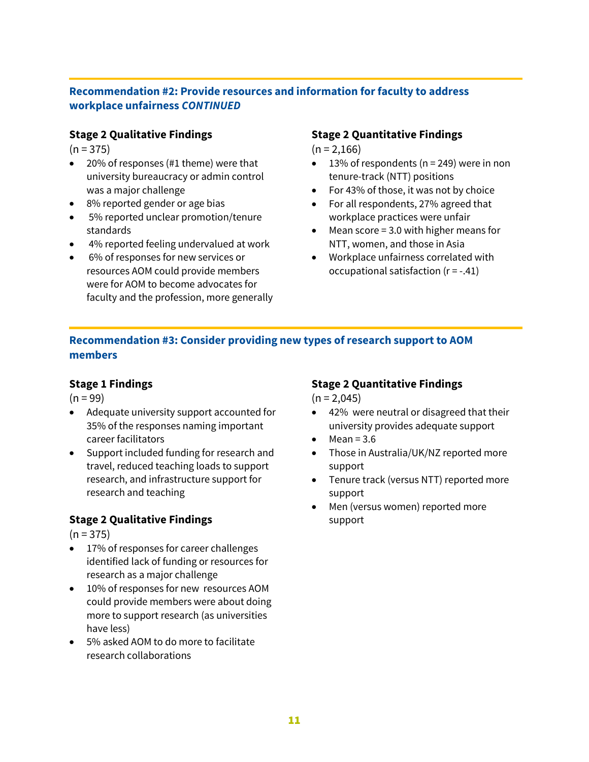## **Recommendation #2: Provide resources and information for faculty to address workplace unfairness** *CONTINUED*

## **Stage 2 Qualitative Findings**

 $(n = 375)$ 

- 20% of responses (#1 theme) were that university bureaucracy or admin control was a major challenge
- 8% reported gender or age bias
- 5% reported unclear promotion/tenure standards
- 4% reported feeling undervalued at work
- 6% of responses for new services or resources AOM could provide members were for AOM to become advocates for faculty and the profession, more generally

## **Stage 2 Quantitative Findings**

 $(n = 2,166)$ 

- 13% of respondents (n = 249) were in non tenure-track (NTT) positions
- For 43% of those, it was not by choice
- For all respondents, 27% agreed that workplace practices were unfair
- Mean score = 3.0 with higher means for NTT, women, and those in Asia
- Workplace unfairness correlated with occupational satisfaction (r = -.41)

## **Recommendation #3: Consider providing new types of research support to AOM members**

## **Stage 1 Findings**

 $(n = 99)$ 

- Adequate university support accounted for 35% of the responses naming important career facilitators
- Support included funding for research and travel, reduced teaching loads to support research, and infrastructure support for research and teaching

## **Stage 2 Qualitative Findings**

 $(n = 375)$ 

- 17% of responses for career challenges identified lack of funding or resources for research as a major challenge
- 10% of responses for new resources AOM could provide members were about doing more to support research (as universities have less)
- 5% asked AOM to do more to facilitate research collaborations

## **Stage 2 Quantitative Findings**

 $(n = 2,045)$ 

- 42% were neutral or disagreed that their university provides adequate support
- $Mean = 3.6$
- Those in Australia/UK/NZ reported more support
- Tenure track (versus NTT) reported more support
- Men (versus women) reported more support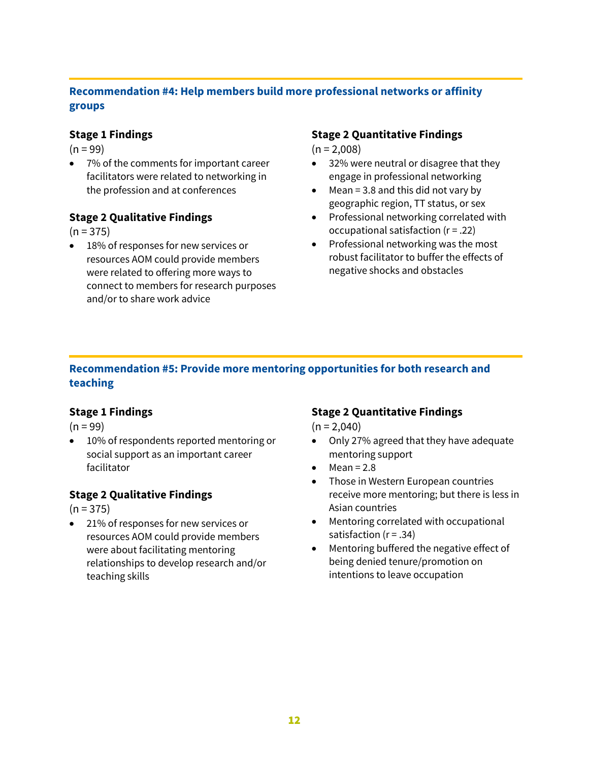## **Recommendation #4: Help members build more professional networks or affinity groups**

## **Stage 1 Findings**

 $(n = 99)$ 

 7% of the comments for important career facilitators were related to networking in the profession and at conferences

## **Stage 2 Qualitative Findings**

 $(n = 375)$ 

• 18% of responses for new services or resources AOM could provide members were related to offering more ways to connect to members for research purposes and/or to share work advice

## **Stage 2 Quantitative Findings**

 $(n = 2.008)$ 

- 32% were neutral or disagree that they engage in professional networking
- Mean = 3.8 and this did not vary by geographic region, TT status, or sex
- Professional networking correlated with occupational satisfaction (r = .22)
- Professional networking was the most robust facilitator to buffer the effects of negative shocks and obstacles

## **Recommendation #5: Provide more mentoring opportunities for both research and teaching**

## **Stage 1 Findings**

 $(n = 99)$ 

 10% of respondents reported mentoring or social support as an important career facilitator

## **Stage 2 Qualitative Findings**

 $(n = 375)$ 

• 21% of responses for new services or resources AOM could provide members were about facilitating mentoring relationships to develop research and/or teaching skills

## **Stage 2 Quantitative Findings**

 $(n = 2,040)$ 

- Only 27% agreed that they have adequate mentoring support
- $Mean = 2.8$
- Those in Western European countries receive more mentoring; but there is less in Asian countries
- Mentoring correlated with occupational satisfaction (r = .34)
- Mentoring buffered the negative effect of being denied tenure/promotion on intentions to leave occupation